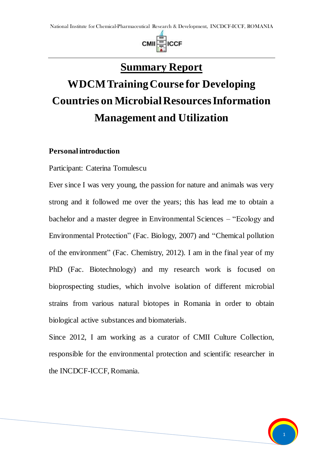

# **Summary Report**

# **WDCM Training Course for Developing Countries on Microbial Resources Information Management and Utilization**

#### **Personal introduction**

Participant: Caterina Tomulescu

Ever since I was very young, the passion for nature and animals was very strong and it followed me over the years; this has lead me to obtain a bachelor and a master degree in Environmental Sciences – "Ecology and Environmental Protection" (Fac. Biology, 2007) and "Chemical pollution of the environment" (Fac. Chemistry, 2012). I am in the final year of my PhD (Fac. Biotechnology) and my research work is focused on bioprospecting studies, which involve isolation of different microbial strains from various natural biotopes in Romania in order to obtain biological active substances and biomaterials.

Since 2012, I am working as a curator of CMII Culture Collection, responsible for the environmental protection and scientific researcher in the INCDCF-ICCF, Romania.

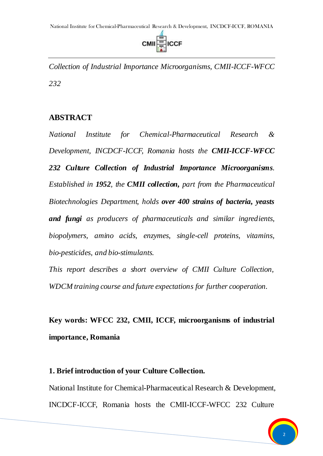

*Collection of Industrial Importance Microorganisms, CMII-ICCF-WFCC 232*

### **ABSTRACT**

*National Institute for Chemical-Pharmaceutical Research & Development, INCDCF-ICCF, Romania hosts the CMII-ICCF-WFCC 232 Culture Collection of Industrial Importance Microorganisms. Established in 1952, the CMII collection, part from the Pharmaceutical Biotechnologies Department, holds over 400 strains of bacteria, yeasts and fungi as producers of pharmaceuticals and similar ingredients, biopolymers, amino acids, enzymes, single-cell proteins, vitamins, bio-pesticides, and bio-stimulants.*

*This report describes a short overview of CMII Culture Collection, WDCM training course and future expectations for further cooperation.*

**Key words: WFCC 232, CMII, ICCF, microorganisms of industrial importance, Romania**

#### **1. Brief introduction of your Culture Collection.**

National Institute for Chemical-Pharmaceutical Research & Development, INCDCF-ICCF, Romania hosts the CMII-ICCF-WFCC 232 Culture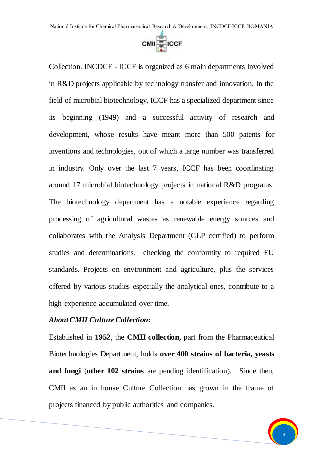

Collection. INCDCF - ICCF is organized as 6 main departments involved in R&D projects applicable by technology transfer and innovation. In the field of microbial biotechnology, ICCF has a specialized department since its beginning (1949) and a successful activity of research and development, whose results have meant more than 500 patents for inventions and technologies, out of which a large number was transferred in industry. Only over the last 7 years, ICCF has been coordinating around 17 microbial biotechnology projects in national R&D programs. The biotechnology department has a notable experience regarding processing of agricultural wastes as renewable energy sources and collaborates with the Analysis Department (GLP certified) to perform studies and determinations, checking the conformity to required EU standards. Projects on environment and agriculture, plus the services offered by various studies especially the analytical ones, contribute to a high experience accumulated over time.

#### *About CMII Culture Collection:*

Established in **1952**, the **CMII collection,** part from the Pharmaceutical Biotechnologies Department, holds **over 400 strains of bacteria, yeasts and fungi** (**other 102 strains** are pending identification). Since then, CMII as an in house Culture Collection has grown in the frame of projects financed by public authorities and companies.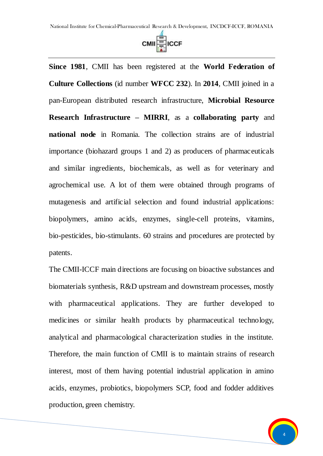

**Since 1981**, CMII has been registered at the **World Federation of Culture Collections** (id number **WFCC 232**). In **2014**, CMII joined in a pan-European distributed research infrastructure, **Microbial Resource Research Infrastructure – MIRRI**, as a **collaborating party** and **national node** in Romania. The collection strains are of industrial importance (biohazard groups 1 and 2) as producers of pharmaceuticals and similar ingredients, biochemicals, as well as for veterinary and agrochemical use. A lot of them were obtained through programs of mutagenesis and artificial selection and found industrial applications: biopolymers, amino acids, enzymes, single-cell proteins, vitamins, bio-pesticides, bio-stimulants. 60 strains and procedures are protected by patents.

The CMII-ICCF main directions are focusing on bioactive substances and biomaterials synthesis, R&D upstream and downstream processes, mostly with pharmaceutical applications. They are further developed to medicines or similar health products by pharmaceutical technology, analytical and pharmacological characterization studies in the institute. Therefore, the main function of CMII is to maintain strains of research interest, most of them having potential industrial application in amino acids, enzymes, probiotics, biopolymers SCP, food and fodder additives production, green chemistry.

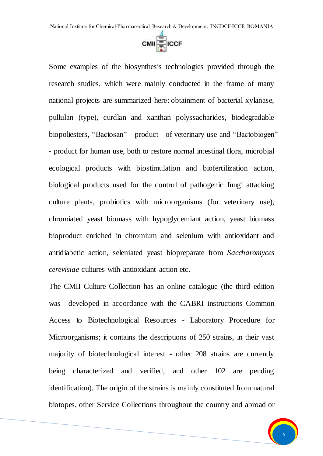

Some examples of the biosynthesis technologies provided through the research studies, which were mainly conducted in the frame of many national projects are summarized here: obtainment of bacterial xylanase, pullulan (type), curdlan and xanthan polyssacharides, biodegradable biopoliesters, "Bactosan" – product of veterinary use and "Bactobiogen" - product for human use, both to restore normal intestinal flora, microbial ecological products with biostimulation and biofertilization action, biological products used for the control of pathogenic fungi attacking culture plants, probiotics with microorganisms (for veterinary use), chromiated yeast biomass with hypoglycemiant action, yeast biomass bioproduct enriched in chromium and selenium with antioxidant and antidiabetic action, seleniated yeast biopreparate from *Saccharomyces cerevisiae* cultures with antioxidant action etc.

The CMII Culture Collection has an online catalogue (the third edition was developed in accordance with the CABRI instructions Common Access to Biotechnological Resources - Laboratory Procedure for Microorganisms; it contains the descriptions of 250 strains, in their vast majority of biotechnological interest - other 208 strains are currently being characterized and verified, and other 102 are pending identification). The origin of the strains is mainly constituted from natural biotopes, other Service Collections throughout the country and abroad or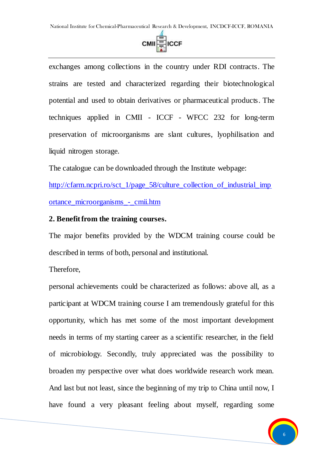

exchanges among collections in the country under RDI contracts. The strains are tested and characterized regarding their biotechnological potential and used to obtain derivatives or pharmaceutical products. The techniques applied in CMII - ICCF - WFCC 232 for long-term preservation of microorganisms are slant cultures, lyophilisation and liquid nitrogen storage.

The catalogue can be downloaded through the Institute webpage:

[http://cfarm.ncpri.ro/sct\\_1/page\\_58/culture\\_collection\\_of\\_industrial\\_imp](http://cfarm.ncpri.ro/sct_1/page_58/culture_collection_of_industrial_importance_microorganisms_-_cmii.htm) [ortance\\_microorganisms\\_-\\_cmii.htm](http://cfarm.ncpri.ro/sct_1/page_58/culture_collection_of_industrial_importance_microorganisms_-_cmii.htm)

#### **2. Benefit from the training courses.**

The major benefits provided by the WDCM training course could be described in terms of both, personal and institutional.

Therefore,

personal achievements could be characterized as follows: above all, as a participant at WDCM training course I am tremendously grateful for this opportunity, which has met some of the most important development needs in terms of my starting career as a scientific researcher, in the field of microbiology. Secondly, truly appreciated was the possibility to broaden my perspective over what does worldwide research work mean. And last but not least, since the beginning of my trip to China until now, I have found a very pleasant feeling about myself, regarding some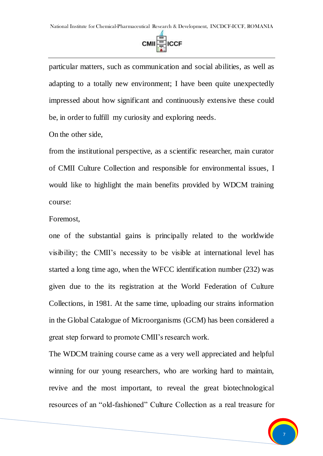

particular matters, such as communication and social abilities, as well as adapting to a totally new environment; I have been quite unexpectedly impressed about how significant and continuously extensive these could be, in order to fulfill my curiosity and exploring needs.

On the other side,

from the institutional perspective, as a scientific researcher, main curator of CMII Culture Collection and responsible for environmental issues, I would like to highlight the main benefits provided by WDCM training course:

Foremost,

one of the substantial gains is principally related to the worldwide visibility; the CMII's necessity to be visible at international level has started a long time ago, when the WFCC identification number (232) was given due to the its registration at the World Federation of Culture Collections, in 1981. At the same time, uploading our strains information in the Global Catalogue of Microorganisms (GCM) has been considered a great step forward to promote CMII's research work.

The WDCM training course came as a very well appreciated and helpful winning for our young researchers, who are working hard to maintain, revive and the most important, to reveal the great biotechnological resources of an "old-fashioned" Culture Collection as a real treasure for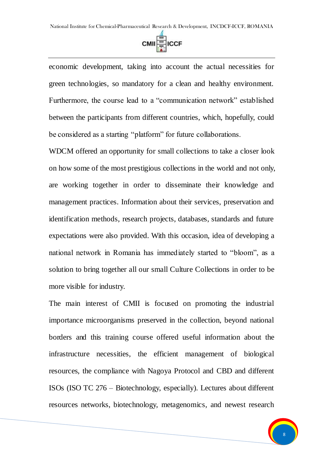

economic development, taking into account the actual necessities for green technologies, so mandatory for a clean and healthy environment. Furthermore, the course lead to a "communication network" established between the participants from different countries, which, hopefully, could be considered as a starting "platform" for future collaborations.

WDCM offered an opportunity for small collections to take a closer look on how some of the most prestigious collections in the world and not only, are working together in order to disseminate their knowledge and management practices. Information about their services, preservation and identification methods, research projects, databases, standards and future expectations were also provided. With this occasion, idea of developing a national network in Romania has immediately started to "bloom", as a solution to bring together all our small Culture Collections in order to be more visible for industry.

The main interest of CMII is focused on promoting the industrial importance microorganisms preserved in the collection, beyond national borders and this training course offered useful information about the infrastructure necessities, the efficient management of biological resources, the compliance with Nagoya Protocol and CBD and different ISOs (ISO TC 276 – Biotechnology, especially). Lectures about different resources networks, biotechnology, metagenomics, and newest research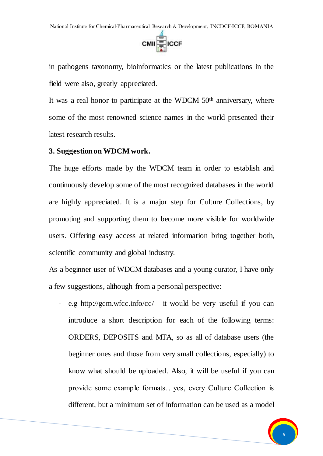

in pathogens taxonomy, bioinformatics or the latest publications in the field were also, greatly appreciated.

It was a real honor to participate at the WDCM 50<sup>th</sup> anniversary, where some of the most renowned science names in the world presented their latest research results.

#### **3. Suggestion on WDCM work.**

The huge efforts made by the WDCM team in order to establish and continuously develop some of the most recognized databases in the world are highly appreciated. It is a major step for Culture Collections, by promoting and supporting them to become more visible for worldwide users. Offering easy access at related information bring together both, scientific community and global industry.

As a beginner user of WDCM databases and a young curator, I have only a few suggestions, although from a personal perspective:

e.g http://gcm.wfcc.info/cc/ - it would be very useful if you can introduce a short description for each of the following terms: ORDERS, DEPOSITS and MTA, so as all of database users (the beginner ones and those from very small collections, especially) to know what should be uploaded. Also, it will be useful if you can provide some example formats…yes, every Culture Collection is different, but a minimum set of information can be used as a model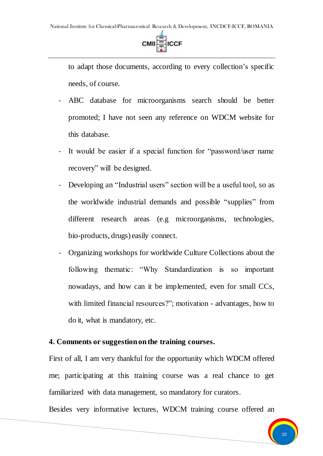

to adapt those documents, according to every collection's specific needs, of course.

- ABC database for microorganisms search should be better promoted; I have not seen any reference on WDCM website for this database.
- It would be easier if a special function for "password/user name" recovery" will be designed.
- Developing an "Industrial users" section will be a useful tool, so as the worldwide industrial demands and possible "supplies" from different research areas (e.g microorganisms, technologies, bio-products, drugs) easily connect.
- Organizing workshops for worldwide Culture Collections about the following thematic: "Why Standardization is so important nowadays, and how can it be implemented, even for small CCs, with limited financial resources?"; motivation - advantages, how to do it, what is mandatory, etc.

#### **4. Comments or suggestion on the training courses.**

First of all, I am very thankful for the opportunity which WDCM offered me; participating at this training course was a real chance to get familiarized with data management, so mandatory for curators.

Besides very informative lectures, WDCM training course offered an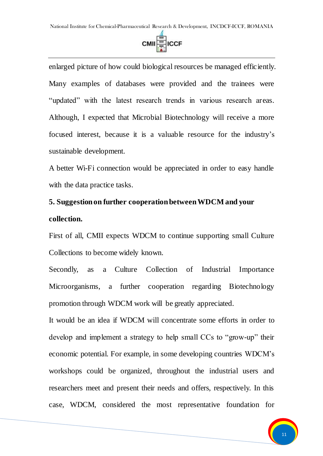

enlarged picture of how could biological resources be managed efficiently. Many examples of databases were provided and the trainees were "updated" with the latest research trends in various research areas. Although, I expected that Microbial Biotechnology will receive a more focused interest, because it is a valuable resource for the industry's sustainable development.

A better Wi-Fi connection would be appreciated in order to easy handle with the data practice tasks.

# **5. Suggestion on further cooperation between WDCM and your collection.**

First of all, CMII expects WDCM to continue supporting small Culture Collections to become widely known.

Secondly, as a Culture Collection of Industrial Importance Microorganisms, a further cooperation regarding Biotechnology promotion through WDCM work will be greatly appreciated.

It would be an idea if WDCM will concentrate some efforts in order to develop and implement a strategy to help small CCs to "grow-up" their economic potential. For example, in some developing countries WDCM's workshops could be organized, throughout the industrial users and researchers meet and present their needs and offers, respectively. In this case, WDCM, considered the most representative foundation for